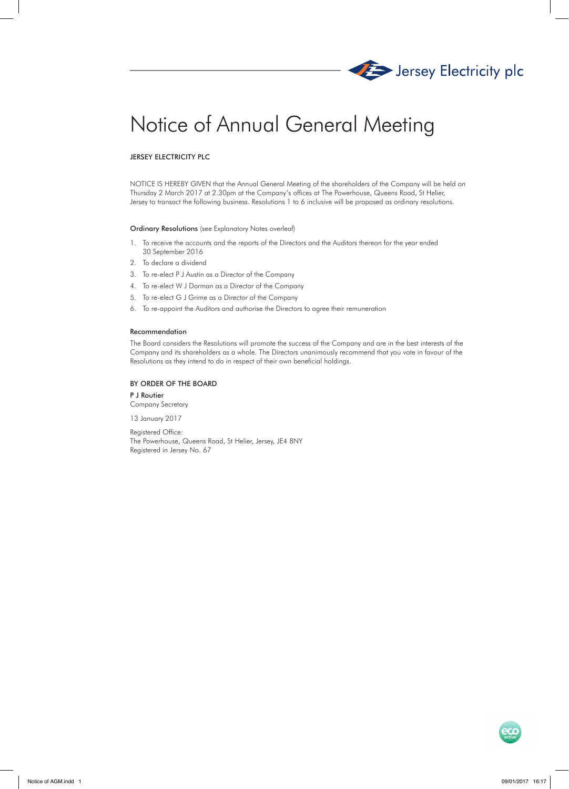

# Notice of Annual General Meeting

# JERSEY ELECTRICITY PLC

NOTICE IS HEREBY GIVEN that the Annual General Meeting of the shareholders of the Company will be held on Thursday 2 March 2017 at 2.30pm at the Company's offices at The Powerhouse, Queens Road, St Helier, Jersey to transact the following business. Resolutions 1 to 6 inclusive will be proposed as ordinary resolutions.

### Ordinary Resolutions (see Explanatory Notes overleaf)

- 1. To receive the accounts and the reports of the Directors and the Auditors thereon for the year ended 30 September 2016
- 2. To declare a dividend
- 3. To re-elect P J Austin as a Director of the Company
- 4. To re-elect W J Dorman as a Director of the Company
- 5. To re-elect G J Grime as a Director of the Company
- 6. To re-appoint the Auditors and authorise the Directors to agree their remuneration

#### Recommendation

The Board considers the Resolutions will promote the success of the Company and are in the best interests of the Company and its shareholders as a whole. The Directors unanimously recommend that you vote in favour of the Resolutions as they intend to do in respect of their own beneficial holdings.

# BY ORDER OF THE BOARD

P J Routier Company Secretary

13 January 2017

Registered Office: The Powerhouse, Queens Road, St Helier, Jersey, JE4 8NY Registered in Jersey No. 67